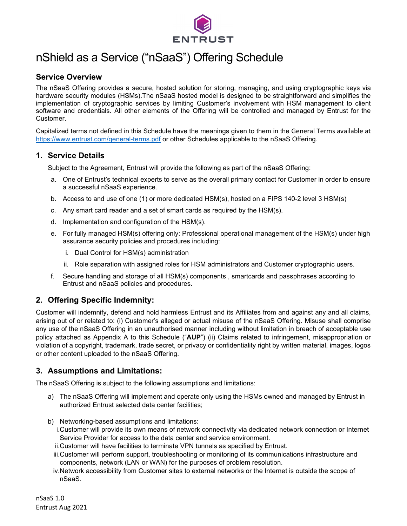

# nShield as a Service ("nSaaS") Offering Schedule

# **Service Overview**

The nSaaS Offering provides a secure, hosted solution for storing, managing, and using cryptographic keys via hardware security modules (HSMs).The nSaaS hosted model is designed to be straightforward and simplifies the implementation of cryptographic services by limiting Customer's involvement with HSM management to client software and credentials. All other elements of the Offering will be controlled and managed by Entrust for the Customer.

Capitalized terms not defined in this Schedule have the meanings given to them in the General Terms available at <https://www.entrust.com/general-terms.pdf> or other Schedules applicable to the nSaaS Offering.

## **1. Service Details**

Subject to the Agreement, Entrust will provide the following as part of the nSaaS Offering:

- a. One of Entrust's technical experts to serve as the overall primary contact for Customer in order to ensure a successful nSaaS experience.
- b. Access to and use of one (1) or more dedicated HSM(s), hosted on a FIPS 140-2 level 3 HSM(s)
- c. Any smart card reader and a set of smart cards as required by the HSM(s).
- d. Implementation and configuration of the HSM(s).
- e. For fully managed HSM(s) offering only: Professional operational management of the HSM(s) under high assurance security policies and procedures including:
	- i. Dual Control for HSM(s) administration
	- ii. Role separation with assigned roles for HSM administrators and Customer cryptographic users.
- f. Secure handling and storage of all HSM(s) components , smartcards and passphrases according to Entrust and nSaaS policies and procedures.

# **2. Offering Specific Indemnity:**

Customer will indemnify, defend and hold harmless Entrust and its Affiliates from and against any and all claims, arising out of or related to: (i) Customer's alleged or actual misuse of the nSaaS Offering. Misuse shall comprise any use of the nSaaS Offering in an unauthorised manner including without limitation in breach of acceptable use policy attached as Appendix A to this Schedule ("**AUP**") (ii) Claims related to infringement, misappropriation or violation of a copyright, trademark, trade secret, or privacy or confidentiality right by written material, images, logos or other content uploaded to the nSaaS Offering.

## **3. Assumptions and Limitations:**

The nSaaS Offering is subject to the following assumptions and limitations:

- a) The nSaaS Offering will implement and operate only using the HSMs owned and managed by Entrust in authorized Entrust selected data center facilities;
- b) Networking-based assumptions and limitations:
	- i.Customer will provide its own means of network connectivity via dedicated network connection or Internet Service Provider for access to the data center and service environment.
	- ii.Customer will have facilities to terminate VPN tunnels as specified by Entrust.
	- iii.Customer will perform support, troubleshooting or monitoring of its communications infrastructure and components, network (LAN or WAN) for the purposes of problem resolution.
	- iv.Network accessibility from Customer sites to external networks or the Internet is outside the scope of nSaaS.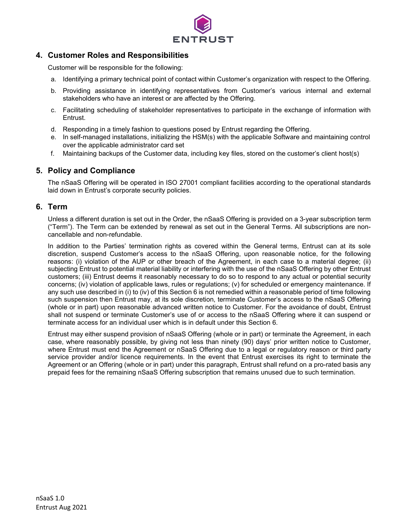

# **4. Customer Roles and Responsibilities**

Customer will be responsible for the following:

- a. Identifying a primary technical point of contact within Customer's organization with respect to the Offering.
- b. Providing assistance in identifying representatives from Customer's various internal and external stakeholders who have an interest or are affected by the Offering.
- c. Facilitating scheduling of stakeholder representatives to participate in the exchange of information with Entrust.
- d. Responding in a timely fashion to questions posed by Entrust regarding the Offering.
- e. In self-managed installations, initializing the HSM(s) with the applicable Software and maintaining control over the applicable administrator card set
- f. Maintaining backups of the Customer data, including key files, stored on the customer's client host(s)

# **5. Policy and Compliance**

The nSaaS Offering will be operated in ISO 27001 compliant facilities according to the operational standards laid down in Entrust's corporate security policies.

## **6. Term**

Unless a different duration is set out in the Order, the nSaaS Offering is provided on a 3-year subscription term ("Term"). The Term can be extended by renewal as set out in the General Terms. All subscriptions are noncancellable and non-refundable.

In addition to the Parties' termination rights as covered within the General terms, Entrust can at its sole discretion, suspend Customer's access to the nSaaS Offering, upon reasonable notice, for the following reasons: (i) violation of the AUP or other breach of the Agreement, in each case to a material degree; (ii) subjecting Entrust to potential material liability or interfering with the use of the nSaaS Offering by other Entrust customers; (iii) Entrust deems it reasonably necessary to do so to respond to any actual or potential security concerns; (iv) violation of applicable laws, rules or regulations; (v) for scheduled or emergency maintenance. If any such use described in (i) to (iv) of this Section 6 is not remedied within a reasonable period of time following such suspension then Entrust may, at its sole discretion, terminate Customer's access to the nSaaS Offering (whole or in part) upon reasonable advanced written notice to Customer. For the avoidance of doubt, Entrust shall not suspend or terminate Customer's use of or access to the nSaaS Offering where it can suspend or terminate access for an individual user which is in default under this Section 6.

Entrust may either suspend provision of nSaaS Offering (whole or in part) or terminate the Agreement, in each case, where reasonably possible, by giving not less than ninety (90) days' prior written notice to Customer, where Entrust must end the Agreement or nSaaS Offering due to a legal or regulatory reason or third party service provider and/or licence requirements. In the event that Entrust exercises its right to terminate the Agreement or an Offering (whole or in part) under this paragraph, Entrust shall refund on a pro-rated basis any prepaid fees for the remaining nSaaS Offering subscription that remains unused due to such termination.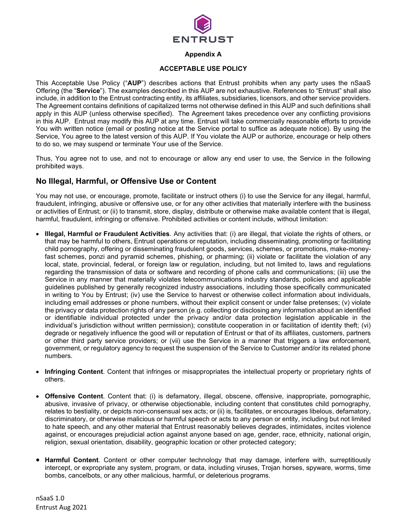

#### **Appendix A**

#### **ACCEPTABLE USE POLICY**

This Acceptable Use Policy ("**AUP**") describes actions that Entrust prohibits when any party uses the nSaaS Offering (the "**Service**"). The examples described in this AUP are not exhaustive. References to "Entrust" shall also include, in addition to the Entrust contracting entity, its affiliates, subsidiaries, licensors, and other service providers. The Agreement contains definitions of capitalized terms not otherwise defined in this AUP and such definitions shall apply in this AUP (unless otherwise specified). The Agreement takes precedence over any conflicting provisions in this AUP. Entrust may modify this AUP at any time. Entrust will take commercially reasonable efforts to provide You with written notice (email or posting notice at the Service portal to suffice as adequate notice). By using the Service, You agree to the latest version of this AUP. If You violate the AUP or authorize, encourage or help others to do so, we may suspend or terminate Your use of the Service.

Thus, You agree not to use, and not to encourage or allow any end user to use, the Service in the following prohibited ways.

## **No Illegal, Harmful, or Offensive Use or Content**

You may not use, or encourage, promote, facilitate or instruct others (i) to use the Service for any illegal, harmful, fraudulent, infringing, abusive or offensive use, or for any other activities that materially interfere with the business or activities of Entrust; or (ii) to transmit, store, display, distribute or otherwise make available content that is illegal, harmful, fraudulent, infringing or offensive. Prohibited activities or content include, without limitation:

- **Illegal, Harmful or Fraudulent Activities**. Any activities that: (i) are illegal, that violate the rights of others, or that may be harmful to others, Entrust operations or reputation, including disseminating, promoting or facilitating child pornography, offering or disseminating fraudulent goods, services, schemes, or promotions, make-moneyfast schemes, ponzi and pyramid schemes, phishing, or pharming; (ii) violate or facilitate the violation of any local, state, provincial, federal, or foreign law or regulation, including, but not limited to, laws and regulations regarding the transmission of data or software and recording of phone calls and communications; (iii) use the Service in any manner that materially violates telecommunications industry standards, policies and applicable guidelines published by generally recognized industry associations, including those specifically communicated in writing to You by Entrust; (iv) use the Service to harvest or otherwise collect information about individuals, including email addresses or phone numbers, without their explicit consent or under false pretenses; (v) violate the privacy or data protection rights of any person (e.g. collecting or disclosing any information about an identified or identifiable individual protected under the privacy and/or data protection legislation applicable in the individual's jurisdiction without written permission); constitute cooperation in or facilitation of identity theft; (vi) degrade or negatively influence the good will or reputation of Entrust or that of its affiliates, customers, partners or other third party service providers; or (vii) use the Service in a manner that triggers a law enforcement, government, or regulatory agency to request the suspension of the Service to Customer and/or its related phone numbers.
- **Infringing Content**. Content that infringes or misappropriates the intellectual property or proprietary rights of others.
- **Offensive Content**. Content that: (i) is defamatory, illegal, obscene, offensive, inappropriate, pornographic, abusive, invasive of privacy, or otherwise objectionable, including content that constitutes child pornography, relates to bestiality, or depicts non-consensual sex acts; or (ii) is, facilitates, or encourages libelous, defamatory, discriminatory, or otherwise malicious or harmful speech or acts to any person or entity, including but not limited to hate speech, and any other material that Entrust reasonably believes degrades, intimidates, incites violence against, or encourages prejudicial action against anyone based on age, gender, race, ethnicity, national origin, religion, sexual orientation, disability, geographic location or other protected category;
- **Harmful Content**. Content or other computer technology that may damage, interfere with, surreptitiously intercept, or expropriate any system, program, or data, including viruses, Trojan horses, spyware, worms, time bombs, cancelbots, or any other malicious, harmful, or deleterious programs.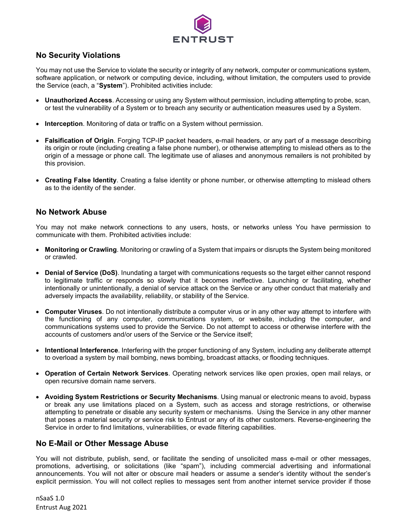

# **No Security Violations**

You may not use the Service to violate the security or integrity of any network, computer or communications system, software application, or network or computing device, including, without limitation, the computers used to provide the Service (each, a "**System**"). Prohibited activities include:

- **Unauthorized Access**. Accessing or using any System without permission, including attempting to probe, scan, or test the vulnerability of a System or to breach any security or authentication measures used by a System.
- **Interception**. Monitoring of data or traffic on a System without permission.
- **Falsification of Origin**. Forging TCP-IP packet headers, e-mail headers, or any part of a message describing its origin or route (including creating a false phone number), or otherwise attempting to mislead others as to the origin of a message or phone call. The legitimate use of aliases and anonymous remailers is not prohibited by this provision.
- **Creating False Identity**. Creating a false identity or phone number, or otherwise attempting to mislead others as to the identity of the sender.

## **No Network Abuse**

You may not make network connections to any users, hosts, or networks unless You have permission to communicate with them. Prohibited activities include:

- **Monitoring or Crawling**. Monitoring or crawling of a System that impairs or disrupts the System being monitored or crawled.
- **Denial of Service (DoS)**. Inundating a target with communications requests so the target either cannot respond to legitimate traffic or responds so slowly that it becomes ineffective. Launching or facilitating, whether intentionally or unintentionally, a denial of service attack on the Service or any other conduct that materially and adversely impacts the availability, reliability, or stability of the Service.
- **Computer Viruses**. Do not intentionally distribute a computer virus or in any other way attempt to interfere with the functioning of any computer, communications system, or website, including the computer, and communications systems used to provide the Service. Do not attempt to access or otherwise interfere with the accounts of customers and/or users of the Service or the Service itself;
- **Intentional Interference**. Interfering with the proper functioning of any System, including any deliberate attempt to overload a system by mail bombing, news bombing, broadcast attacks, or flooding techniques.
- **Operation of Certain Network Services**. Operating network services like open proxies, open mail relays, or open recursive domain name servers.
- **Avoiding System Restrictions or Security Mechanisms**. Using manual or electronic means to avoid, bypass or break any use limitations placed on a System, such as access and storage restrictions, or otherwise attempting to penetrate or disable any security system or mechanisms. Using the Service in any other manner that poses a material security or service risk to Entrust or any of its other customers. Reverse-engineering the Service in order to find limitations, vulnerabilities, or evade filtering capabilities.

## **No E-Mail or Other Message Abuse**

You will not distribute, publish, send, or facilitate the sending of unsolicited mass e-mail or other messages, promotions, advertising, or solicitations (like "spam"), including commercial advertising and informational announcements. You will not alter or obscure mail headers or assume a sender's identity without the sender's explicit permission. You will not collect replies to messages sent from another internet service provider if those

nSaaS 1.0 Entrust Aug 2021